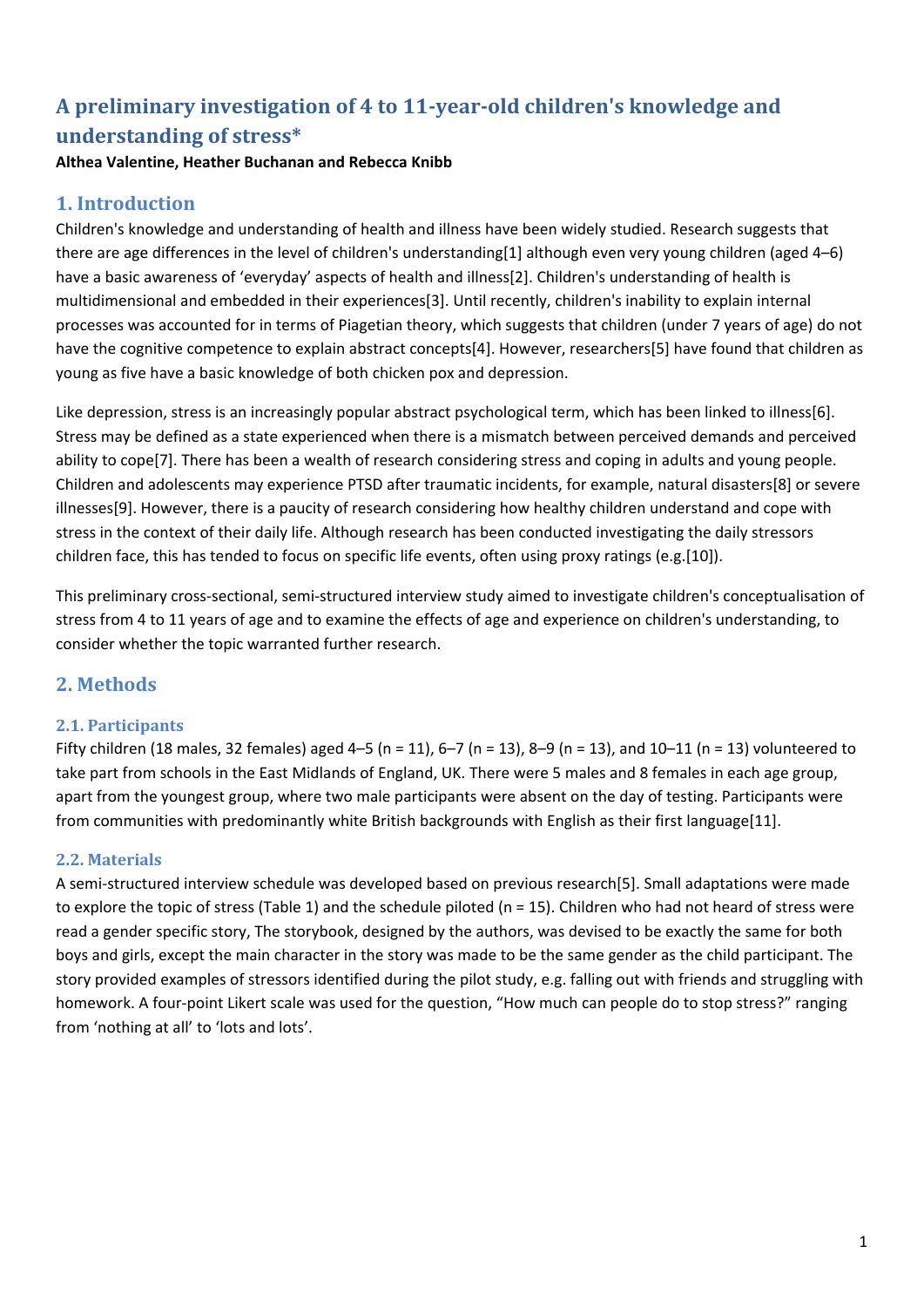# **A preliminary investigation of 4 to 11‐year‐old children's knowledge and understanding of stress\***

**Althea Valentine, Heather Buchanan and Rebecca Knibb**

## **1. Introduction**

Children's knowledge and understanding of health and illness have been widely studied. Research suggests that there are age differences in the level of children's understanding[1] although even very young children (aged 4–6) have a basic awareness of 'everyday' aspects of health and illness[2]. Children's understanding of health is multidimensional and embedded in their experiences[3]. Until recently, children's inability to explain internal processes was accounted for in terms of Piagetian theory, which suggests that children (under 7 years of age) do not have the cognitive competence to explain abstract concepts[4]. However, researchers[5] have found that children as young as five have a basic knowledge of both chicken pox and depression.

Like depression, stress is an increasingly popular abstract psychological term, which has been linked to illness[6]. Stress may be defined as a state experienced when there is a mismatch between perceived demands and perceived ability to cope[7]. There has been a wealth of research considering stress and coping in adults and young people. Children and adolescents may experience PTSD after traumatic incidents, for example, natural disasters[8] or severe illnesses[9]. However, there is a paucity of research considering how healthy children understand and cope with stress in the context of their daily life. Although research has been conducted investigating the daily stressors children face, this has tended to focus on specific life events, often using proxy ratings (e.g.[10]).

This preliminary cross‐sectional, semi‐structured interview study aimed to investigate children's conceptualisation of stress from 4 to 11 years of age and to examine the effects of age and experience on children's understanding, to consider whether the topic warranted further research.

## **2. Methods**

## **2.1. Participants**

Fifty children (18 males, 32 females) aged 4–5 (n = 11), 6–7 (n = 13), 8–9 (n = 13), and 10–11 (n = 13) volunteered to take part from schools in the East Midlands of England, UK. There were 5 males and 8 females in each age group, apart from the youngest group, where two male participants were absent on the day of testing. Participants were from communities with predominantly white British backgrounds with English as their first language[11].

### **2.2. Materials**

A semi‐structured interview schedule was developed based on previous research[5]. Small adaptations were made to explore the topic of stress (Table 1) and the schedule piloted (n = 15). Children who had not heard of stress were read a gender specific story, The storybook, designed by the authors, was devised to be exactly the same for both boys and girls, except the main character in the story was made to be the same gender as the child participant. The story provided examples of stressors identified during the pilot study, e.g. falling out with friends and struggling with homework. A four-point Likert scale was used for the question, "How much can people do to stop stress?" ranging from 'nothing at all' to 'lots and lots'.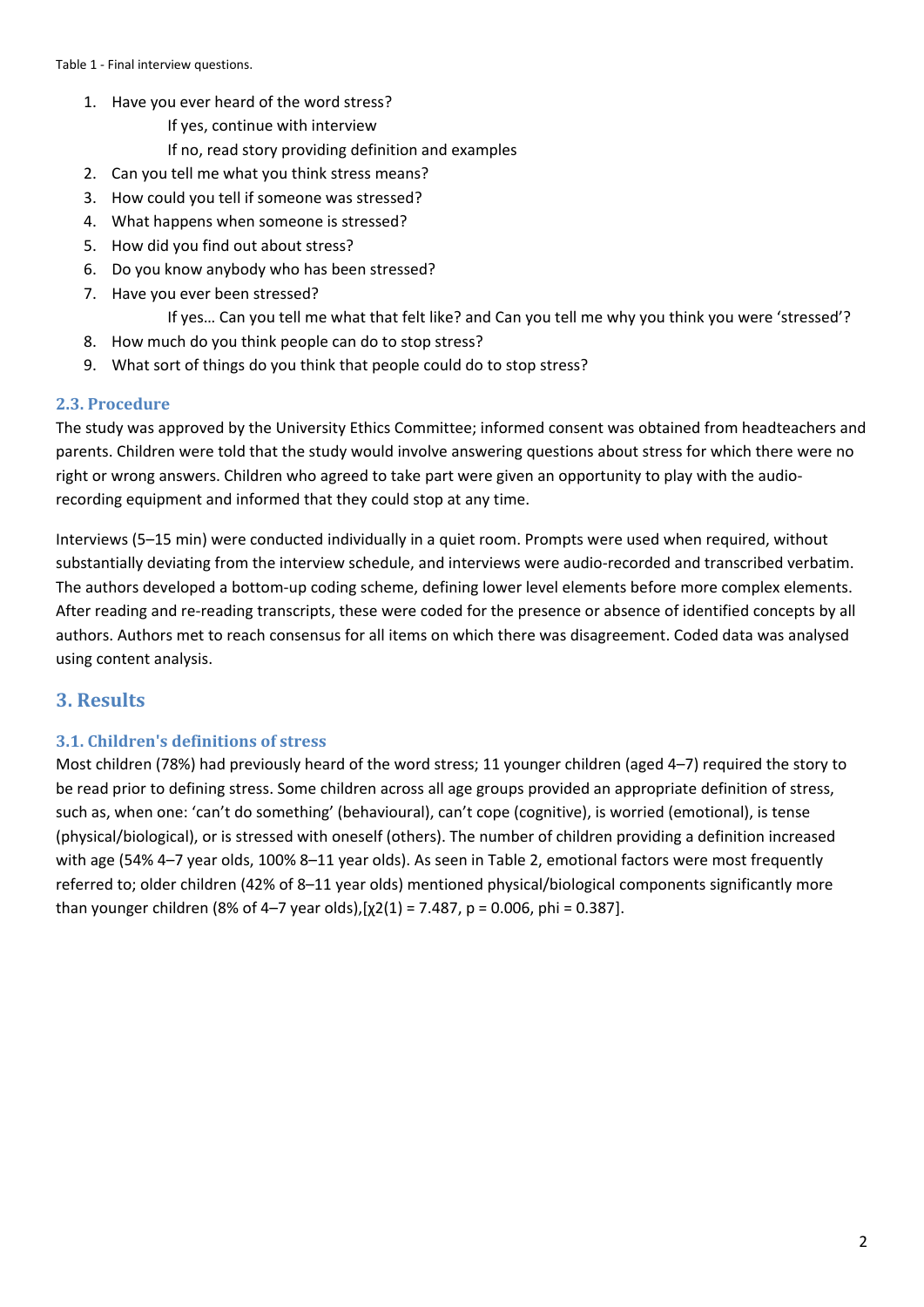- 1. Have you ever heard of the word stress?
	- If yes, continue with interview
	- If no, read story providing definition and examples
- 2. Can you tell me what you think stress means?
- 3. How could you tell if someone was stressed?
- 4. What happens when someone is stressed?
- 5. How did you find out about stress?
- 6. Do you know anybody who has been stressed?
- 7. Have you ever been stressed?

If yes… Can you tell me what that felt like? and Can you tell me why you think you were 'stressed'?

- 8. How much do you think people can do to stop stress?
- 9. What sort of things do you think that people could do to stop stress?

#### **2.3. Procedure**

The study was approved by the University Ethics Committee; informed consent was obtained from headteachers and parents. Children were told that the study would involve answering questions about stress for which there were no right or wrong answers. Children who agreed to take part were given an opportunity to play with the audio‐ recording equipment and informed that they could stop at any time.

Interviews (5–15 min) were conducted individually in a quiet room. Prompts were used when required, without substantially deviating from the interview schedule, and interviews were audio-recorded and transcribed verbatim. The authors developed a bottom‐up coding scheme, defining lower level elements before more complex elements. After reading and re‐reading transcripts, these were coded for the presence or absence of identified concepts by all authors. Authors met to reach consensus for all items on which there was disagreement. Coded data was analysed using content analysis.

### **3. Results**

#### **3.1. Children's definitions of stress**

Most children (78%) had previously heard of the word stress; 11 younger children (aged 4–7) required the story to be read prior to defining stress. Some children across all age groups provided an appropriate definition of stress, such as, when one: 'can't do something' (behavioural), can't cope (cognitive), is worried (emotional), is tense (physical/biological), or is stressed with oneself (others). The number of children providing a definition increased with age (54% 4–7 year olds, 100% 8–11 year olds). As seen in Table 2, emotional factors were most frequently referred to; older children (42% of 8–11 year olds) mentioned physical/biological components significantly more than younger children (8% of 4–7 year olds),[ $\chi$ 2(1) = 7.487, p = 0.006, phi = 0.387].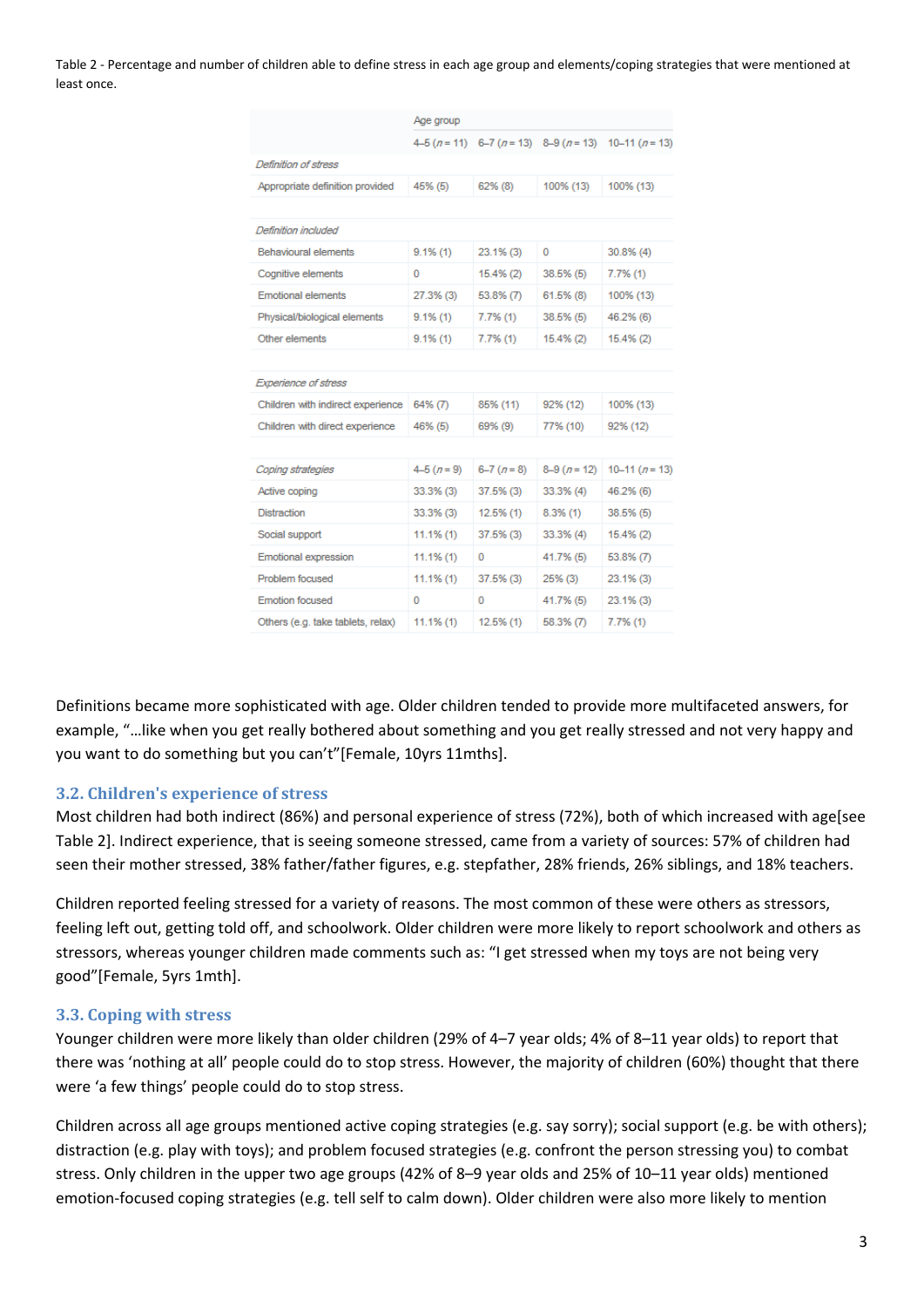Table 2 ‐ Percentage and number of children able to define stress in each age group and elements/coping strategies that were mentioned at least once.

|                                   | Age group    |              |                                       |                |
|-----------------------------------|--------------|--------------|---------------------------------------|----------------|
|                                   |              |              | $4-5(n=11)$ 6-7 $(n=13)$ 8-9 $(n=13)$ | $10-11 (n=13)$ |
| Definition of stress              |              |              |                                       |                |
| Appropriate definition provided   | 45% (5)      | 62% (8)      | 100% (13)                             | 100% (13)      |
|                                   |              |              |                                       |                |
| Definition included               |              |              |                                       |                |
| <b>Behavioural elements</b>       | $9.1\%$ (1)  | 23.1% (3)    | 0                                     | 30.8% (4)      |
| Cognitive elements                | 0            | 15.4%(2)     | $38.5%$ (5)                           | $7.7\%$ (1)    |
| <b>Emotional elements</b>         | 27.3% (3)    | $53.8\%$ (7) | $61.5\%$ (8)                          | 100% (13)      |
| Physical/biological elements      | $9.1\%$ (1)  | 7.7%(1)      | 38.5% (5)                             | 46.2% (6)      |
| Other elements                    | $9.1\%$ (1)  | 7.7%(1)      | 15.4% (2)                             | 15.4% (2)      |
|                                   |              |              |                                       |                |
| <b>Experience of stress</b>       |              |              |                                       |                |
| Children with indirect experience | 64% (7)      | 85% (11)     | 92% (12)                              | 100% (13)      |
| Children with direct experience   | 46% (5)      | 69% (9)      | 77% (10)                              | 92% (12)       |
|                                   |              |              |                                       |                |
| Coping strategies                 | $4-5(n=9)$   | $6-7(n=8)$   | $8-9(n=12)$                           | $10-11(n=13)$  |
| Active coping                     | 33.3% (3)    | 37.5% (3)    | 33.3% (4)                             | 46.2% (6)      |
| <b>Distraction</b>                | 33.3% (3)    | 12.5%(1)     | 8.3%(1)                               | 38.5% (5)      |
| Social support                    | $11.1\%$ (1) | 37.5% (3)    | 33.3% (4)                             | $15.4\%$ (2)   |
| Emotional expression              | $11.1\%$ (1) | 0            | 41.7% (5)                             | 53.8% (7)      |
| Problem focused                   | $11.1\%$ (1) | 37.5% (3)    | $25\%$ (3)                            | 23.1% (3)      |
| <b>Emotion focused</b>            | 0            | 0            | 41.7% (5)                             | 23.1% (3)      |
| Others (e.g. take tablets, relax) | $11.1\%$ (1) | 12.5%(1)     | 58.3% (7)                             | 7.7%(1)        |

Definitions became more sophisticated with age. Older children tended to provide more multifaceted answers, for example, "…like when you get really bothered about something and you get really stressed and not very happy and you want to do something but you can't"[Female, 10yrs 11mths].

#### **3.2. Children's experience of stress**

Most children had both indirect (86%) and personal experience of stress (72%), both of which increased with age[see Table 2]. Indirect experience, that is seeing someone stressed, came from a variety of sources: 57% of children had seen their mother stressed, 38% father/father figures, e.g. stepfather, 28% friends, 26% siblings, and 18% teachers.

Children reported feeling stressed for a variety of reasons. The most common of these were others as stressors, feeling left out, getting told off, and schoolwork. Older children were more likely to report schoolwork and others as stressors, whereas younger children made comments such as: "I get stressed when my toys are not being very good"[Female, 5yrs 1mth].

#### **3.3. Coping with stress**

Younger children were more likely than older children (29% of 4–7 year olds; 4% of 8–11 year olds) to report that there was 'nothing at all' people could do to stop stress. However, the majority of children (60%) thought that there were 'a few things' people could do to stop stress.

Children across all age groups mentioned active coping strategies (e.g. say sorry); social support (e.g. be with others); distraction (e.g. play with toys); and problem focused strategies (e.g. confront the person stressing you) to combat stress. Only children in the upper two age groups (42% of 8–9 year olds and 25% of 10–11 year olds) mentioned emotion‐focused coping strategies (e.g. tell self to calm down). Older children were also more likely to mention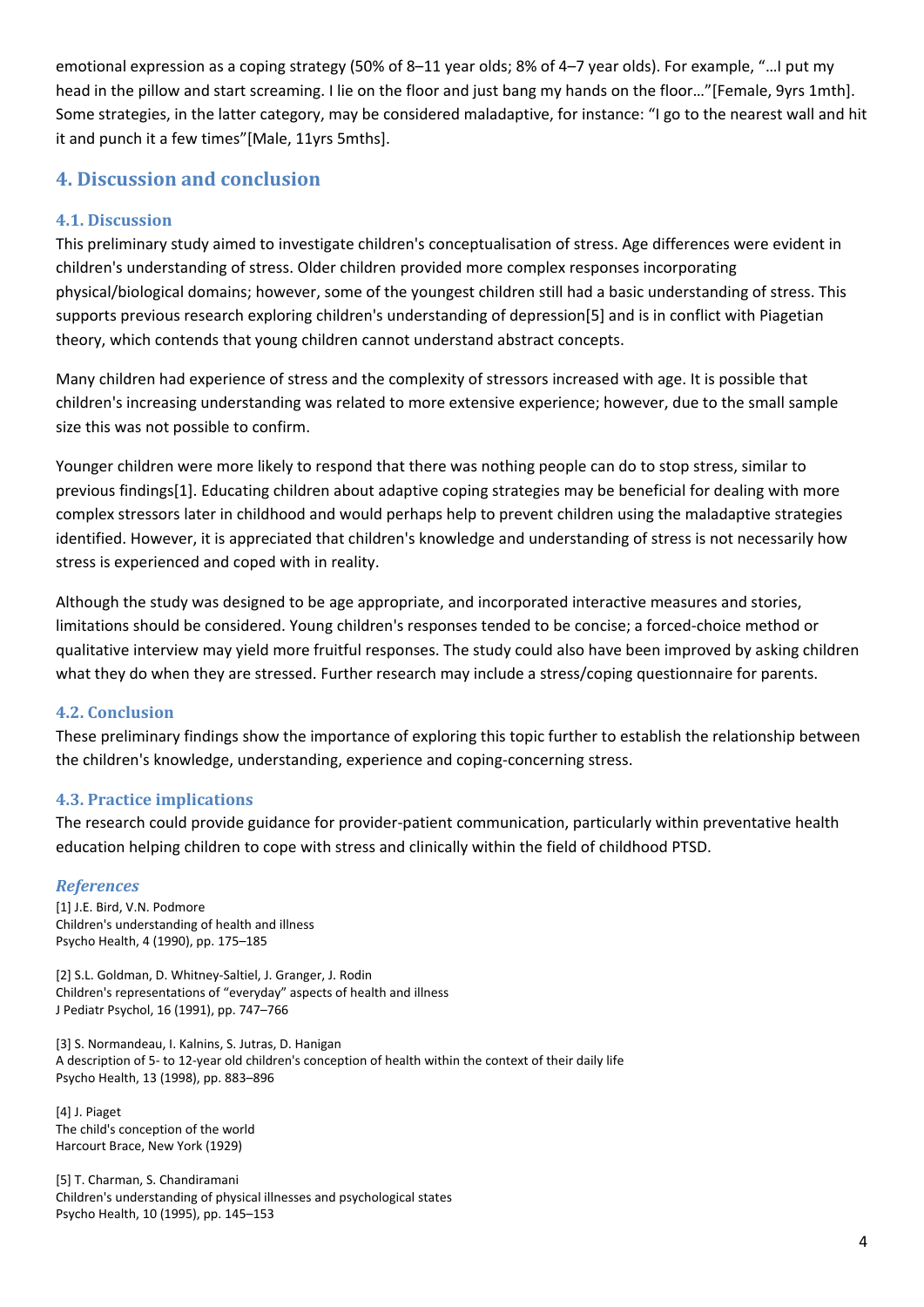emotional expression as a coping strategy (50% of 8–11 year olds; 8% of 4–7 year olds). For example, "…I put my head in the pillow and start screaming. I lie on the floor and just bang my hands on the floor..."[Female, 9yrs 1mth]. Some strategies, in the latter category, may be considered maladaptive, for instance: "I go to the nearest wall and hit it and punch it a few times"[Male, 11yrs 5mths].

## **4. Discussion and conclusion**

#### **4.1. Discussion**

This preliminary study aimed to investigate children's conceptualisation of stress. Age differences were evident in children's understanding of stress. Older children provided more complex responses incorporating physical/biological domains; however, some of the youngest children still had a basic understanding of stress. This supports previous research exploring children's understanding of depression[5] and is in conflict with Piagetian theory, which contends that young children cannot understand abstract concepts.

Many children had experience of stress and the complexity of stressors increased with age. It is possible that children's increasing understanding was related to more extensive experience; however, due to the small sample size this was not possible to confirm.

Younger children were more likely to respond that there was nothing people can do to stop stress, similar to previous findings[1]. Educating children about adaptive coping strategies may be beneficial for dealing with more complex stressors later in childhood and would perhaps help to prevent children using the maladaptive strategies identified. However, it is appreciated that children's knowledge and understanding of stress is not necessarily how stress is experienced and coped with in reality.

Although the study was designed to be age appropriate, and incorporated interactive measures and stories, limitations should be considered. Young children's responses tended to be concise; a forced‐choice method or qualitative interview may yield more fruitful responses. The study could also have been improved by asking children what they do when they are stressed. Further research may include a stress/coping questionnaire for parents.

#### **4.2. Conclusion**

These preliminary findings show the importance of exploring this topic further to establish the relationship between the children's knowledge, understanding, experience and coping‐concerning stress.

#### **4.3. Practice implications**

The research could provide guidance for provider‐patient communication, particularly within preventative health education helping children to cope with stress and clinically within the field of childhood PTSD.

#### *References*

[1] J.E. Bird, V.N. Podmore Children's understanding of health and illness Psycho Health, 4 (1990), pp. 175–185

[2] S.L. Goldman, D. Whitney-Saltiel, J. Granger, J. Rodin Children's representations of "everyday" aspects of health and illness J Pediatr Psychol, 16 (1991), pp. 747–766

[3] S. Normandeau, I. Kalnins, S. Jutras, D. Hanigan A description of 5‐ to 12‐year old children's conception of health within the context of their daily life Psycho Health, 13 (1998), pp. 883–896

[4] J. Piaget The child's conception of the world Harcourt Brace, New York (1929)

[5] T. Charman, S. Chandiramani Children's understanding of physical illnesses and psychological states Psycho Health, 10 (1995), pp. 145–153